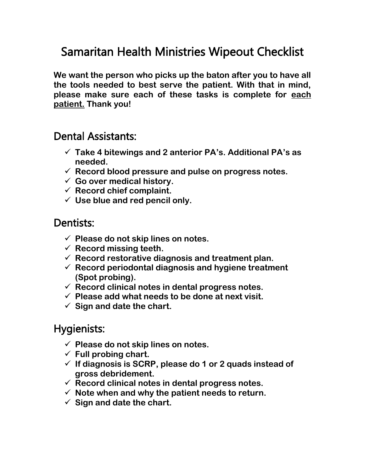# Samaritan Health Ministries Wipeout Checklist

**We want the person who picks up the baton after you to have all the tools needed to best serve the patient. With that in mind, please make sure each of these tasks is complete for each patient. Thank you!**

### Dental Assistants:

- ✓ **Take 4 bitewings and 2 anterior PA's. Additional PA's as needed.**
- ✓ **Record blood pressure and pulse on progress notes.**
- ✓ **Go over medical history.**
- ✓ **Record chief complaint.**
- ✓ **Use blue and red pencil only.**

#### Dentists:

- ✓ **Please do not skip lines on notes.**
- ✓ **Record missing teeth.**
- ✓ **Record restorative diagnosis and treatment plan.**
- ✓ **Record periodontal diagnosis and hygiene treatment (Spot probing).**
- ✓ **Record clinical notes in dental progress notes.**
- ✓ **Please add what needs to be done at next visit.**
- ✓ **Sign and date the chart.**

### Hygienists:

- ✓ **Please do not skip lines on notes.**
- ✓ **Full probing chart.**
- ✓ **If diagnosis is SCRP, please do 1 or 2 quads instead of gross debridement.**
- ✓ **Record clinical notes in dental progress notes.**
- ✓ **Note when and why the patient needs to return.**
- ✓ **Sign and date the chart.**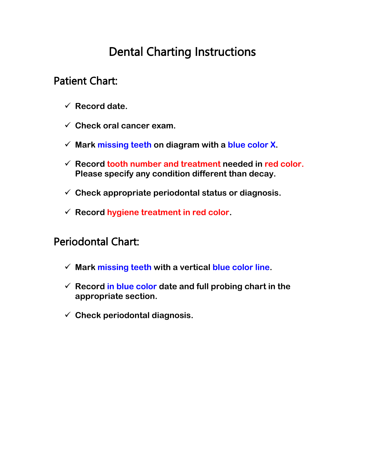# Dental Charting Instructions

## Patient Chart:

- ✓ **Record date.**
- ✓ **Check oral cancer exam.**
- ✓ **Mark missing teeth on diagram with a blue color X.**
- ✓ **Record tooth number and treatment needed in red color. Please specify any condition different than decay.**
- ✓ **Check appropriate periodontal status or diagnosis.**
- ✓ **Record hygiene treatment in red color.**

## Periodontal Chart:

- ✓ **Mark missing teeth with a vertical blue color line.**
- ✓ **Record in blue color date and full probing chart in the appropriate section.**
- ✓ **Check periodontal diagnosis.**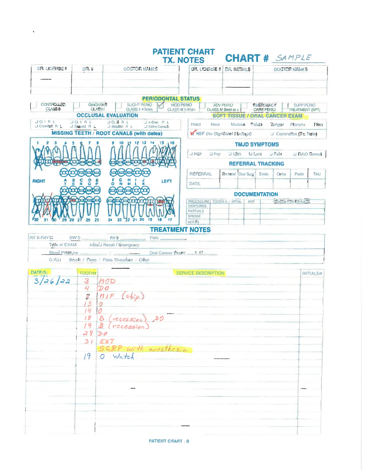|                                      |                                 |                                                                                                         | <b>PATIENT CHART</b><br><b>TX. NOTES</b>    |                  | <b>CHART # SAMPLE</b>                                      |                                       |                               |                                      |                   |
|--------------------------------------|---------------------------------|---------------------------------------------------------------------------------------------------------|---------------------------------------------|------------------|------------------------------------------------------------|---------------------------------------|-------------------------------|--------------------------------------|-------------------|
| <b>DR. LICENSE #</b>                 | DR. #                           | <b>DOCTOR NAMES</b>                                                                                     |                                             |                  | DR. LICENSE # DR. INITIALS                                 |                                       | DOCTOR NAMES                  |                                      |                   |
|                                      |                                 |                                                                                                         |                                             |                  |                                                            |                                       |                               |                                      |                   |
|                                      |                                 |                                                                                                         |                                             |                  |                                                            |                                       |                               |                                      |                   |
|                                      |                                 | <b>PERIODONTAL STATUS</b>                                                                               |                                             |                  |                                                            |                                       |                               |                                      |                   |
| <b>CONTROLLED</b><br><b>CLASS 0</b>  |                                 | <b>GINGMITIS</b><br>SUGHT PERIO<br><b>CLASS II 4-5mm</b><br><b>CLASSI</b><br><b>OCCLUSAL EVALUATION</b> | <b>MOD PERIO</b><br><b>CLASS III 5-8mm</b>  | <b>ADV PERIO</b> | CLASS IV 8mm or ><br><b>SOFT TISSUE / ORAL CANCER EXAM</b> | <b>EMERGENCY</b><br><b>CARE PERIO</b> |                               | SUPP PERIO<br><b>TREATMENT (SPT)</b> |                   |
| <b>JOURL</b><br><b>J Crowded R L</b> | <b>JORAL</b><br>J Spaued, R. L. | JA-Brie R.L.<br><b>DOURRL</b><br>$\Box$ Rotaled $R$ L<br>Li Ortho Consult                               | Head                                        | <b>Neck</b>      |                                                            | Mucosa Palate Tongue Pharynx          |                               |                                      | Floor             |
|                                      |                                 | <b>MISSING TEETH / ROOT CANALS (with dates)</b>                                                         |                                             |                  | M NSF (No Significant Findings)                            |                                       | <b>Explanation (Tx. Note)</b> |                                      |                   |
|                                      |                                 | 9 10 11 12 13<br>14 15 16                                                                               |                                             |                  |                                                            | <b>TMJD SYMPTOMS</b>                  |                               |                                      |                   |
|                                      |                                 |                                                                                                         | <b>LINSE</b>                                | $\Box$ Pop       | $\Box$ Click                                               | Li Lock                               | $\Box$ Pam                    | <b>UITMJD Consult</b>                |                   |
|                                      |                                 |                                                                                                         |                                             |                  | <b>REFERRAL TRACKING</b>                                   |                                       |                               |                                      |                   |
|                                      |                                 |                                                                                                         | <b>REFERRAL</b>                             |                  | General Oral Sum Endo                                      |                                       | Orino                         | Pedo                                 | <b>TMJ</b>        |
| <b>AIGHT</b>                         | S<br>ō                          | LEFT<br>ō                                                                                               | <b>DATE</b>                                 |                  |                                                            |                                       |                               |                                      |                   |
|                                      |                                 |                                                                                                         |                                             |                  |                                                            | <b>DOCUMENTATION</b>                  |                               |                                      |                   |
|                                      |                                 |                                                                                                         | PROCEDURE TOOTH # INTIAL<br><b>DENTURES</b> |                  |                                                            | AGE                                   | <b>REASON FOR REPLACE</b>     |                                      |                   |
|                                      | 25<br>26                        | 222120<br>23<br>19<br>24                                                                                | <b>PARTIALS</b><br><b>BRIDGE</b>            |                  |                                                            |                                       |                               |                                      |                   |
|                                      |                                 |                                                                                                         | <b>NOTES</b><br><b>TREATMENT NOTES</b>      |                  |                                                            |                                       |                               |                                      |                   |
| <b>FIX X-RAYS:</b>                   | BW'S                            | <b>PA'S</b><br>$FMX$ $-$                                                                                |                                             |                  |                                                            |                                       |                               |                                      |                   |
| Type of EXAM.                        |                                 | Initial / Recall / Emergency                                                                            |                                             |                  |                                                            |                                       |                               |                                      |                   |
| <b>Blood Pressure</b><br>O.H.J.      |                                 | - 40<br>Brush / Floss / Floss Threaders / Other                                                         | Oral Cancer Exam: + 01                      |                  |                                                            |                                       |                               |                                      |                   |
|                                      |                                 |                                                                                                         |                                             |                  |                                                            |                                       |                               |                                      |                   |
| DATE <sub>I</sub> S.                 | <b>TOOTHN</b>                   |                                                                                                         | <b>SERVICE DESCRIPTION</b>                  |                  |                                                            |                                       |                               |                                      | <b>INITIALS/#</b> |
| 3/26/22                              | 3<br>4                          | MOD<br>$\boldsymbol{\mathcal{D}}\boldsymbol{\mathcal{O}}$                                               |                                             |                  |                                                            |                                       |                               |                                      |                   |
|                                      | 8                               | (chip)<br>M/F                                                                                           |                                             |                  |                                                            |                                       |                               |                                      |                   |
|                                      | $L^2$                           | 0                                                                                                       |                                             |                  |                                                            |                                       |                               |                                      |                   |
|                                      | 14                              | 0                                                                                                       |                                             |                  |                                                            |                                       |                               |                                      |                   |
|                                      | 19                              | $B$ (recession), $00$<br>B (recession)                                                                  |                                             |                  |                                                            |                                       |                               |                                      |                   |
|                                      | 2800                            |                                                                                                         |                                             |                  |                                                            |                                       |                               |                                      |                   |
|                                      | 31                              | EXT                                                                                                     |                                             |                  |                                                            |                                       |                               |                                      |                   |
|                                      | $19-1$                          | SERP with appethesia<br>O Watch                                                                         |                                             |                  |                                                            |                                       |                               |                                      |                   |
|                                      |                                 |                                                                                                         |                                             |                  |                                                            |                                       |                               |                                      |                   |
|                                      |                                 |                                                                                                         |                                             |                  |                                                            |                                       |                               |                                      |                   |
|                                      |                                 |                                                                                                         |                                             |                  |                                                            |                                       |                               |                                      |                   |
|                                      |                                 |                                                                                                         |                                             |                  |                                                            |                                       |                               |                                      |                   |
|                                      |                                 |                                                                                                         |                                             |                  |                                                            |                                       |                               |                                      |                   |
|                                      |                                 |                                                                                                         |                                             |                  |                                                            |                                       |                               |                                      |                   |
|                                      |                                 |                                                                                                         |                                             |                  |                                                            |                                       |                               |                                      |                   |
|                                      |                                 |                                                                                                         |                                             |                  |                                                            |                                       |                               |                                      |                   |

 $\hat{\mathbf{v}}$ 

**PATIENT CHART B**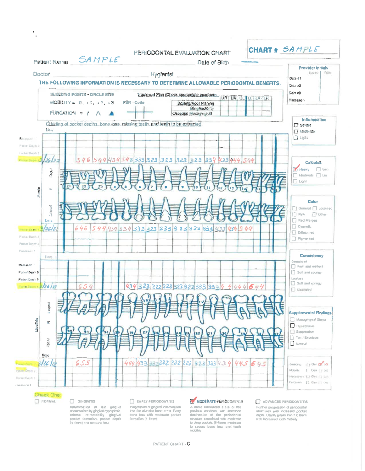|                                                                                               | PERIODONTAL EVALUATION CHART                                                                                                      | CHART # SAMPLE           |                                                                              |
|-----------------------------------------------------------------------------------------------|-----------------------------------------------------------------------------------------------------------------------------------|--------------------------|------------------------------------------------------------------------------|
| SAMPLE<br>Patient Name                                                                        | Date of Birth                                                                                                                     |                          |                                                                              |
| <b>Doctor</b>                                                                                 | <b>Hygienist</b>                                                                                                                  |                          | <b>Provider Initials</b><br>Doctor 1<br>ROH                                  |
|                                                                                               | THE FOLLOWING INFORMATION IS NECESSARY TO DETERMINE ALLOWABLE PERIODONTAL BENEFITS.                                               |                          | Date #1<br>Date #2                                                           |
| BLEEDING POINTS - CIRCLE SITE<br>$MOBlL[YY = 0, +1, +2, +3]$<br>FURCATION = $\uparrow \wedge$ | Trastment Plan (Check soproprisie quadrants.)<br>PSR-Code<br>Scaling/Roof Planing<br><b>Bing vectority</b><br>Osseous Mucogmgival | <b>UR UA UL LL LA LR</b> | Date #3<br><b>Macession</b>                                                  |
| Date                                                                                          | Charling of pocket depths, bone loss, missing teeth, and teeth to be extracted                                                    |                          | <b>Inflammation</b><br>$\Box$ Severe<br>$\Box$ Modelshie                     |
| Received 1                                                                                    |                                                                                                                                   |                          | $\Box$ Light                                                                 |
| Pockel Daim in<br>Police Depth T                                                              |                                                                                                                                   |                          |                                                                              |
| بة داريزا<br>546<br>544                                                                       | 434 542 333 323 323 323 323 334 433 444 544                                                                                       |                          | <b>Calculus</b><br><b>Heavy</b><br>$\Box$ Gen                                |
| Fagest<br>Maxila<br>tr.                                                                       |                                                                                                                                   |                          | Moderate [ Lot<br>$\Box$ Light                                               |
| kungua<br>Date                                                                                |                                                                                                                                   |                          | Color<br>General [7] Localized<br>[] Pink [] Other<br>Red Margins            |
| 646<br>544<br>5/26/2<br>President/Comp<br>Pocket Degit (2)                                    | 434 334 333 323 233 323 322 333 433<br>434                                                                                        | 44<br>s                  | $\Box$ Cyanotic<br>Diffuse red<br>Pigmented                                  |
| Pockel Dopth<br>Recessive 4                                                                   |                                                                                                                                   |                          |                                                                              |
| Date:<br>Depaseion 1                                                                          |                                                                                                                                   |                          | <b>Consistency</b><br>Generalized<br>Firm and resilent                       |
| Forket Depth 3                                                                                |                                                                                                                                   |                          | Soft and spungy                                                              |
| Pocket Denih P<br>Footbeam 226/22<br>654                                                      | 434 323 222 223 323 323 333 33 4                                                                                                  | 4444644                  | Localized<br>Soft and spangy<br><b>IT utourant</b>                           |
|                                                                                               |                                                                                                                                   |                          |                                                                              |
| <b>Rupa</b><br>$\rightarrow$                                                                  |                                                                                                                                   |                          | <b>Supplemental Findings</b><br>Mucogingival Stress                          |
| Mandiblo<br>œ.                                                                                |                                                                                                                                   |                          | Hyperplane<br>Supperation                                                    |
| Pacinal                                                                                       |                                                                                                                                   |                          | $\Box$ Ton / Exostosis<br><sup>1</sup> Notmal                                |
| Date<br>655<br>3/26/2<br><b>Focam Desith</b>                                                  | 444 433 23 222 222 222 323 333 434 445                                                                                            | 645                      | Gen iv Loc<br>Виноко.                                                        |
| <b>Pocker Depmin</b><br>Focust Daum: 3                                                        |                                                                                                                                   |                          | [ Gen   Loc<br>Mobility<br>Hecesson [] Get [] Lot<br>Funcation [] Gen   Loc- |
| Recession 1                                                                                   |                                                                                                                                   |                          |                                                                              |

#### Check One: **NORMAL**

 $\bar{\mathbf{r}}$ J.

> $\Box$  GINGIVITIS Let the matrice of the graphs of the distribution of the graphs and the properties and process the process of  $\{c \land amni$  and  $\{c \land amni\}$  and  $\{c \land amni\}$  and  $\{c \land amni\}$  and  $\{c \lor a \land a\}$  be the best depth

 $\Box$  EARLY PERIODONTITIS Internet Person<br>Frogerssion of ginginal inflammation<br>into the alvedar bone crest Early<br>bone loss with moderate pocket<br>formation (4 5mm)

#### MODERATE PERIODONTITIS

F

A more advanced state of the previous condition of the previous condition of the preiodontal shouting spectrum in the previous condition of the priodontal to deep prockets (5-7mm) moderate to several box and the model of t

 $\Box$  ADVANCED PERIODONTITIS Each intervention of the state of the state of the state of the state of the state of the state of the state of the state of the with increased tools mobility